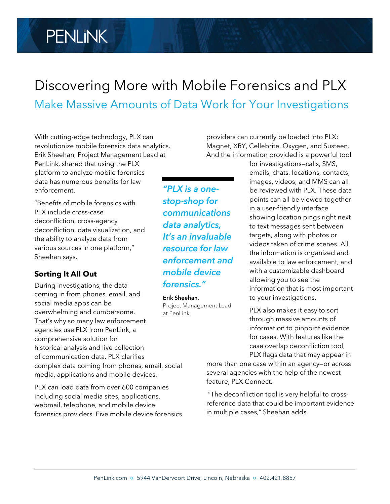# **PENLINK**

# Discovering More with Mobile Forensics and PLX Make Massive Amounts of Data Work for Your Investigations

With cutting-edge technology, PLX can revolutionize mobile forensics data analytics. Erik Sheehan, Project Management Lead at PenLink, shared that using the PLX platform to analyze mobile forensics data has numerous benefits for law enforcement.

"Benefits of mobile forensics with PLX include cross-case deconfliction, cross-agency deconfliction, data visualization, and the ability to analyze data from various sources in one platform," Sheehan says.

## **Sorting It All Out**

During investigations, the data coming in from phones, email, and social media apps can be overwhelming and cumbersome. That's why so many law enforcement agencies use PLX from PenLink, a comprehensive solution for historical analysis and live collection of communication data. PLX clarifies complex data coming from phones, email, social media, applications and mobile devices.

PLX can load data from over 600 companies including social media sites, applications, webmail, telephone, and mobile device forensics providers. Five mobile device forensics

*"PLX is a onestop-shop for communications data analytics, It's an invaluable resource for law enforcement and mobile device forensics."*

#### **Erik Sheehan,**

Project Management Lead at PenLink

providers can currently be loaded into PLX: Magnet, XRY, Cellebrite, Oxygen, and Susteen. And the information provided is a powerful tool

> for investigations—calls, SMS, emails, chats, locations, contacts, images, videos, and MMS can all be reviewed with PLX. These data points can all be viewed together in a user-friendly interface showing location pings right next to text messages sent between targets, along with photos or videos taken of crime scenes. All the information is organized and available to law enforcement, and with a customizable dashboard allowing you to see the information that is most important to your investigations.

PLX also makes it easy to sort through massive amounts of information to pinpoint evidence for cases. With features like the case overlap deconfliction tool, PLX flags data that may appear in

more than one case within an agency—or across several agencies with the help of the newest feature, PLX Connect.

"The deconfliction tool is very helpful to crossreference data that could be important evidence in multiple cases," Sheehan adds.